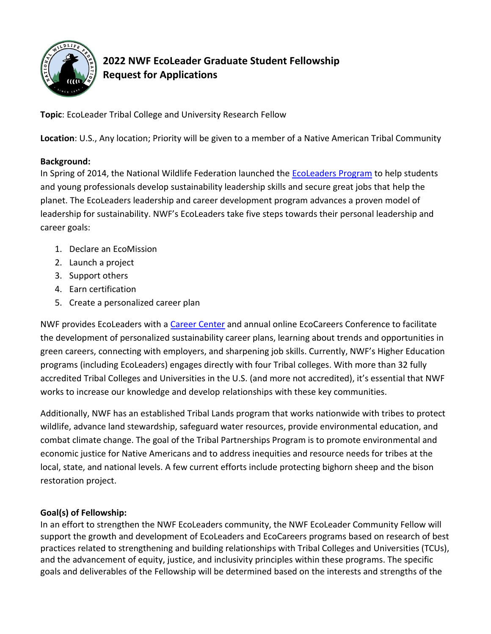

# **2022 NWF EcoLeader Graduate Student Fellowship Request for Applications**

**Topic**: EcoLeader Tribal College and University Research Fellow

**Location**: U.S., Any location; Priority will be given to a member of a Native American Tribal Community

## **Background:**

In Spring of 2014, the National Wildlife Federation launched the [EcoLeaders Program](https://www.nwfecoleaders.org/home) to help students and young professionals develop sustainability leadership skills and secure great jobs that help the planet. The EcoLeaders leadership and career development program advances a proven model of leadership for sustainability. NWF's EcoLeaders take five steps towards their personal leadership and career goals:

- 1. Declare an EcoMission
- 2. Launch a project
- 3. Support others
- 4. Earn certification
- 5. Create a personalized career plan

NWF provides EcoLeaders with a [Career Center](https://www.nwfecoleaders.org/careercenter) and annual online EcoCareers Conference to facilitate the development of personalized sustainability career plans, learning about trends and opportunities in green careers, connecting with employers, and sharpening job skills. Currently, NWF's Higher Education programs (including EcoLeaders) engages directly with four Tribal colleges. With more than 32 fully accredited Tribal Colleges and Universities in the U.S. (and more not accredited), it's essential that NWF works to increase our knowledge and develop relationships with these key communities.

Additionally, NWF has an established Tribal Lands program that works nationwide with tribes to protect wildlife, advance land stewardship, safeguard water resources, provide environmental education, and combat climate change. The goal of the Tribal Partnerships Program is to promote environmental and economic justice for Native Americans and to address inequities and resource needs for tribes at the local, state, and national levels. A few current efforts include protecting bighorn sheep and the bison restoration project.

## **Goal(s) of Fellowship:**

In an effort to strengthen the NWF EcoLeaders community, the NWF EcoLeader Community Fellow will support the growth and development of EcoLeaders and EcoCareers programs based on research of best practices related to strengthening and building relationships with Tribal Colleges and Universities (TCUs), and the advancement of equity, justice, and inclusivity principles within these programs. The specific goals and deliverables of the Fellowship will be determined based on the interests and strengths of the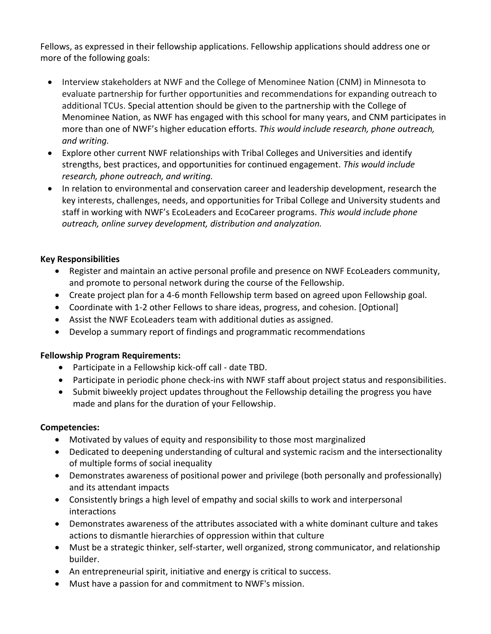Fellows, as expressed in their fellowship applications. Fellowship applications should address one or more of the following goals:

- Interview stakeholders at NWF and the College of Menominee Nation (CNM) in Minnesota to evaluate partnership for further opportunities and recommendations for expanding outreach to additional TCUs. Special attention should be given to the partnership with the College of Menominee Nation, as NWF has engaged with this school for many years, and CNM participates in more than one of NWF's higher education efforts. *This would include research, phone outreach, and writing.*
- Explore other current NWF relationships with Tribal Colleges and Universities and identify strengths, best practices, and opportunities for continued engagement. *This would include research, phone outreach, and writing.*
- In relation to environmental and conservation career and leadership development, research the key interests, challenges, needs, and opportunities for Tribal College and University students and staff in working with NWF's EcoLeaders and EcoCareer programs. *This would include phone outreach, online survey development, distribution and analyzation.*

#### **Key Responsibilities**

- Register and maintain an active personal profile and presence on NWF EcoLeaders community, and promote to personal network during the course of the Fellowship.
- Create project plan for a 4-6 month Fellowship term based on agreed upon Fellowship goal.
- Coordinate with 1-2 other Fellows to share ideas, progress, and cohesion. [Optional]
- Assist the NWF EcoLeaders team with additional duties as assigned.
- Develop a summary report of findings and programmatic recommendations

#### **Fellowship Program Requirements:**

- Participate in a Fellowship kick-off call date TBD.
- Participate in periodic phone check-ins with NWF staff about project status and responsibilities.
- Submit biweekly project updates throughout the Fellowship detailing the progress you have made and plans for the duration of your Fellowship.

#### **Competencies:**

- Motivated by values of equity and responsibility to those most marginalized
- Dedicated to deepening understanding of cultural and systemic racism and the intersectionality of multiple forms of social inequality
- Demonstrates awareness of positional power and privilege (both personally and professionally) and its attendant impacts
- Consistently brings a high level of empathy and social skills to work and interpersonal interactions
- Demonstrates awareness of the attributes associated with a white dominant culture and takes actions to dismantle hierarchies of oppression within that culture
- Must be a strategic thinker, self-starter, well organized, strong communicator, and relationship builder.
- An entrepreneurial spirit, initiative and energy is critical to success.
- Must have a passion for and commitment to NWF's mission.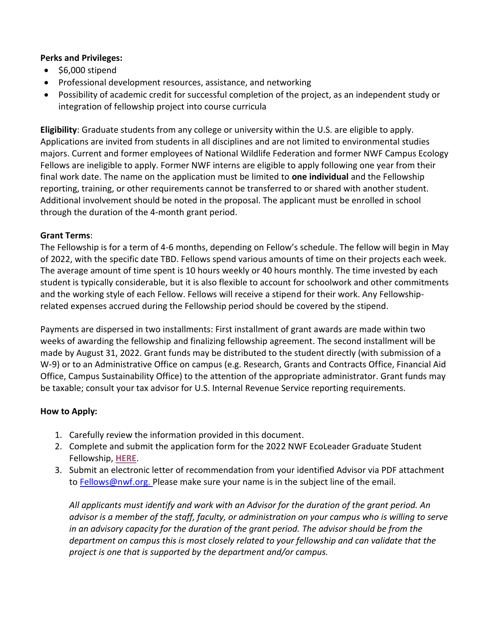#### **Perks and Privileges:**

- \$6,000 stipend
- Professional development resources, assistance, and networking
- Possibility of academic credit for successful completion of the project, as an independent study or integration of fellowship project into course curricula

**Eligibility**: Graduate students from any college or university within the U.S. are eligible to apply. Applications are invited from students in all disciplines and are not limited to environmental studies majors. Current and former employees of National Wildlife Federation and former NWF Campus Ecology Fellows are ineligible to apply. Former NWF interns are eligible to apply following one year from their final work date. The name on the application must be limited to **one individual** and the Fellowship reporting, training, or other requirements cannot be transferred to or shared with another student. Additional involvement should be noted in the proposal. The applicant must be enrolled in school through the duration of the 4-month grant period.

#### **Grant Terms**:

The Fellowship is for a term of 4-6 months, depending on Fellow's schedule. The fellow will begin in May of 2022, with the specific date TBD. Fellows spend various amounts of time on their projects each week. The average amount of time spent is 10 hours weekly or 40 hours monthly. The time invested by each student is typically considerable, but it is also flexible to account for schoolwork and other commitments and the working style of each Fellow. Fellows will receive a stipend for their work. Any Fellowshiprelated expenses accrued during the Fellowship period should be covered by the stipend.

Payments are dispersed in two installments: First installment of grant awards are made within two weeks of awarding the fellowship and finalizing fellowship agreement. The second installment will be made by August 31, 2022. Grant funds may be distributed to the student directly (with submission of a W-9) or to an Administrative Office on campus (e.g. Research, Grants and Contracts Office, Financial Aid Office, Campus Sustainability Office) to the attention of the appropriate administrator. Grant funds may be taxable; consult your tax advisor for U.S. Internal Revenue Service reporting requirements.

#### **How to Apply:**

- 1. Carefully review the information provided in this document.
- 2. Complete and submit the application form for the 2022 NWF EcoLeader Graduate Student Fellowship, **[HERE](https://docs.google.com/forms/d/e/1FAIpQLSfjAsXveqPBKBVV4Tc_EZw-yATPG6GHo2LdAEtb7M9uVJKKdw/viewform?usp=sf_link)**.
- 3. Submit an electronic letter of recommendation from your identified Advisor via PDF attachment to [Fellows@nwf.org.](mailto:Fellows@nwf.org) Please make sure your name is in the subject line of the email.

*All applicants must identify and work with an Advisor for the duration of the grant period. An advisor is a member of the staff, faculty, or administration on your campus who is willing to serve in an advisory capacity for the duration of the grant period. The advisor should be from the department on campus this is most closely related to your fellowship and can validate that the project is one that is supported by the department and/or campus.*